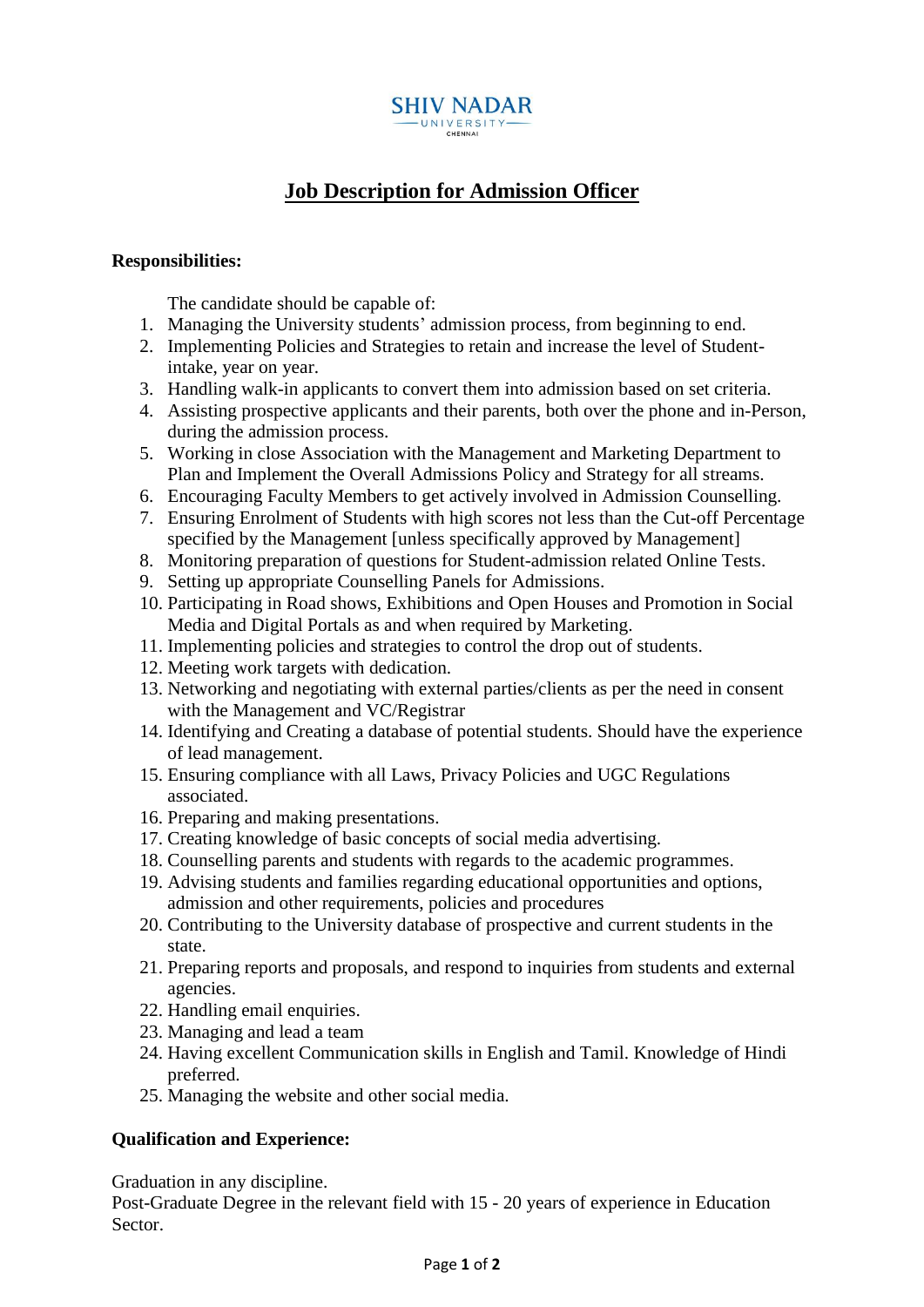

## **Job Description for Admission Officer**

## **Responsibilities:**

The candidate should be capable of:

- 1. Managing the University students' admission process, from beginning to end.
- 2. Implementing Policies and Strategies to retain and increase the level of Studentintake, year on year.
- 3. Handling walk-in applicants to convert them into admission based on set criteria.
- 4. Assisting prospective applicants and their parents, both over the phone and in-Person, during the admission process.
- 5. Working in close Association with the Management and Marketing Department to Plan and Implement the Overall Admissions Policy and Strategy for all streams.
- 6. Encouraging Faculty Members to get actively involved in Admission Counselling.
- 7. Ensuring Enrolment of Students with high scores not less than the Cut-off Percentage specified by the Management [unless specifically approved by Management]
- 8. Monitoring preparation of questions for Student-admission related Online Tests.
- 9. Setting up appropriate Counselling Panels for Admissions.
- 10. Participating in Road shows, Exhibitions and Open Houses and Promotion in Social Media and Digital Portals as and when required by Marketing.
- 11. Implementing policies and strategies to control the drop out of students.
- 12. Meeting work targets with dedication.
- 13. Networking and negotiating with external parties/clients as per the need in consent with the Management and VC/Registrar
- 14. Identifying and Creating a database of potential students. Should have the experience of lead management.
- 15. Ensuring compliance with all Laws, Privacy Policies and UGC Regulations associated.
- 16. Preparing and making presentations.
- 17. Creating knowledge of basic concepts of social media advertising.
- 18. Counselling parents and students with regards to the academic programmes.
- 19. Advising students and families regarding educational opportunities and options, admission and other requirements, policies and procedures
- 20. Contributing to the University database of prospective and current students in the state.
- 21. Preparing reports and proposals, and respond to inquiries from students and external agencies.
- 22. Handling email enquiries.
- 23. Managing and lead a team
- 24. Having excellent Communication skills in English and Tamil. Knowledge of Hindi preferred.
- 25. Managing the website and other social media.

## **Qualification and Experience:**

Graduation in any discipline.

Post-Graduate Degree in the relevant field with 15 - 20 years of experience in Education Sector.